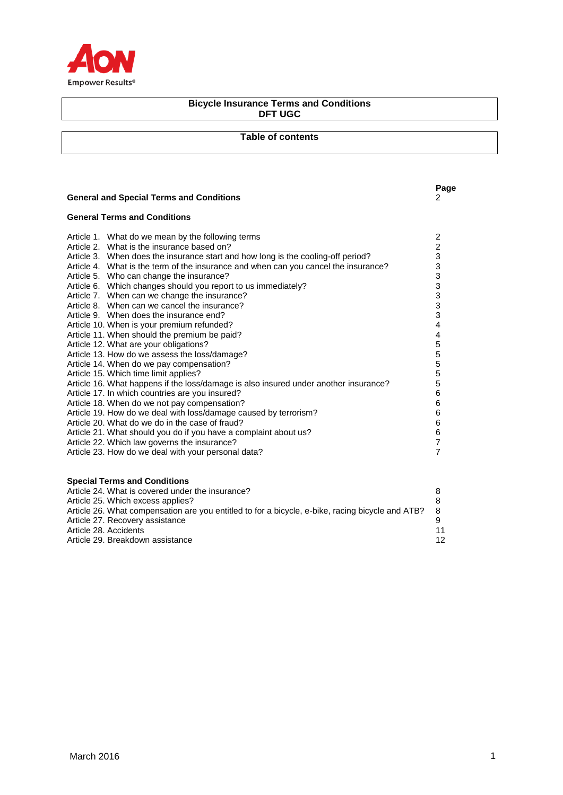

# **Bicycle Insurance Terms and Conditions DFT UGC**

# **Table of contents**

# **General and Special Terms and Conditions** 2

# **General Terms and Conditions**

Article 27. Recovery assistance

| Article 1. What do we mean by the following terms                                    | $\overline{\mathbf{c}}$   |
|--------------------------------------------------------------------------------------|---------------------------|
| Article 2. What is the insurance based on?                                           | $\overline{\mathbf{c}}$   |
| Article 3. When does the insurance start and how long is the cooling-off period?     | $\ensuremath{\mathsf{3}}$ |
| Article 4. What is the term of the insurance and when can you cancel the insurance?  | $\ensuremath{\mathsf{3}}$ |
| Article 5. Who can change the insurance?                                             | $\mathsf 3$               |
| Article 6. Which changes should you report to us immediately?                        | 3                         |
| Article 7. When can we change the insurance?                                         |                           |
| Article 8. When can we cancel the insurance?                                         | $\frac{3}{3}$             |
| Article 9. When does the insurance end?                                              | $\mathsf 3$               |
| Article 10. When is your premium refunded?                                           | $\overline{4}$            |
| Article 11. When should the premium be paid?                                         | $\overline{4}$            |
| Article 12. What are your obligations?                                               | $\frac{5}{5}$             |
| Article 13. How do we assess the loss/damage?                                        |                           |
| Article 14. When do we pay compensation?                                             | $\mathbf 5$               |
| Article 15. Which time limit applies?                                                | $\sqrt{5}$                |
| Article 16. What happens if the loss/damage is also insured under another insurance? | $\mathbf 5$               |
| Article 17. In which countries are you insured?                                      | $\,6$                     |
| Article 18. When do we not pay compensation?                                         | $\,6$                     |
| Article 19. How do we deal with loss/damage caused by terrorism?                     | $\,6$                     |
| Article 20. What do we do in the case of fraud?                                      | $\,6$                     |
| Article 21. What should you do if you have a complaint about us?                     | $\,6$                     |
| Article 22. Which law governs the insurance?                                         | $\overline{7}$            |
| Article 23. How do we deal with your personal data?                                  | $\overline{7}$            |
| <b>Special Terms and Conditions</b>                                                  |                           |
|                                                                                      |                           |

Article 24. What is covered under the insurance?<br>
Article 25. Which excess applies?<br>
8 Article 25. Which excess applies? 8 Article 26. What compensation are you entitled to for a bicycle, e-bike, racing bicycle and ATB? 8

Article 28. Accidents 11 Article 29. Breakdown assistance 12

**Page**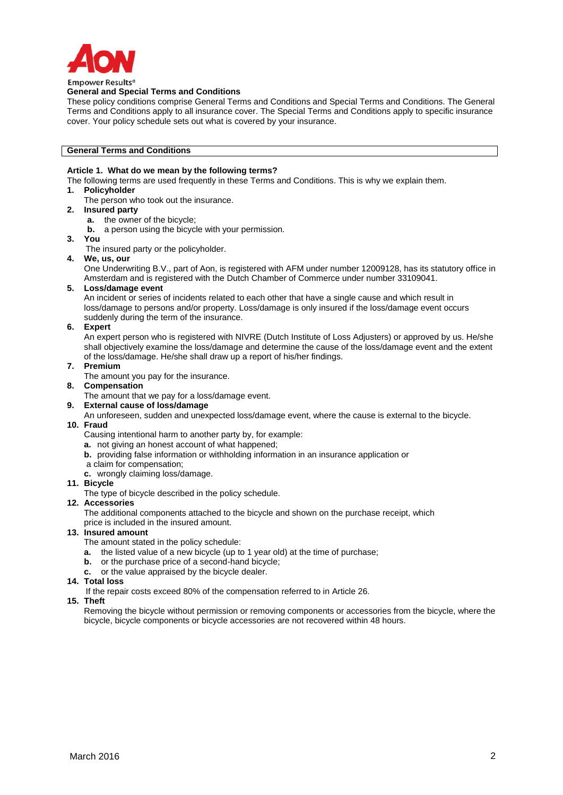

# **General and Special Terms and Conditions**

These policy conditions comprise General Terms and Conditions and Special Terms and Conditions. The General Terms and Conditions apply to all insurance cover. The Special Terms and Conditions apply to specific insurance cover. Your policy schedule sets out what is covered by your insurance.

#### **General Terms and Conditions**

# **Article 1. What do we mean by the following terms?**

- The following terms are used frequently in these Terms and Conditions. This is why we explain them.
- **1. Policyholder**
	- The person who took out the insurance.
- **2. Insured party**
	- **a.** the owner of the bicycle;
	- **b.** a person using the bicycle with your permission.
- **3. You**
	- The insured party or the policyholder.
- **4. We, us, our**

One Underwriting B.V., part of Aon, is registered with AFM under number 12009128, has its statutory office in Amsterdam and is registered with the Dutch Chamber of Commerce under number 33109041.

**5. Loss/damage event**

An incident or series of incidents related to each other that have a single cause and which result in loss/damage to persons and/or property. Loss/damage is only insured if the loss/damage event occurs suddenly during the term of the insurance.

#### **6. Expert**

An expert person who is registered with NIVRE (Dutch Institute of Loss Adjusters) or approved by us. He/she shall objectively examine the loss/damage and determine the cause of the loss/damage event and the extent of the loss/damage. He/she shall draw up a report of his/her findings.

- **7. Premium**
	- The amount you pay for the insurance.
- **8. Compensation**
	- The amount that we pay for a loss/damage event.
- **9. External cause of loss/damage**
- An unforeseen, sudden and unexpected loss/damage event, where the cause is external to the bicycle.

# **10. Fraud**

Causing intentional harm to another party by, for example:

- **a.** not giving an honest account of what happened;
- **b.** providing false information or withholding information in an insurance application or
- a claim for compensation;
- **c.** wrongly claiming loss/damage.
- **11. Bicycle**
	- The type of bicycle described in the policy schedule.

#### **12. Accessories**

The additional components attached to the bicycle and shown on the purchase receipt, which price is included in the insured amount.

# **13. Insured amount**

- The amount stated in the policy schedule:
- **a.** the listed value of a new bicycle (up to 1 year old) at the time of purchase;
- **b.** or the purchase price of a second-hand bicycle;
- **c.** or the value appraised by the bicycle dealer.
- **14. Total loss**
	- If the repair costs exceed 80% of the compensation referred to in Article 26.

#### **15. Theft**

Removing the bicycle without permission or removing components or accessories from the bicycle, where the bicycle, bicycle components or bicycle accessories are not recovered within 48 hours.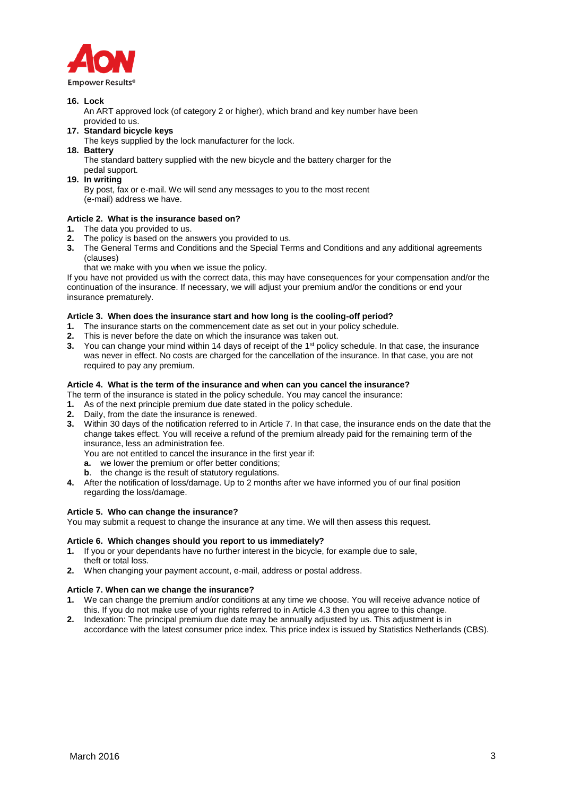

# **16. Lock**

 An ART approved lock (of category 2 or higher), which brand and key number have been provided to us.

- **17. Standard bicycle keys**
- The keys supplied by the lock manufacturer for the lock.
- **18. Battery**

The standard battery supplied with the new bicycle and the battery charger for the pedal support.

**19. In writing**

By post, fax or e-mail. We will send any messages to you to the most recent (e-mail) address we have.

# **Article 2. What is the insurance based on?**

- **1.** The data you provided to us.
- **2.** The policy is based on the answers you provided to us.
- **3.** The General Terms and Conditions and the Special Terms and Conditions and any additional agreements (clauses)

that we make with you when we issue the policy.

If you have not provided us with the correct data, this may have consequences for your compensation and/or the continuation of the insurance. If necessary, we will adjust your premium and/or the conditions or end your insurance prematurely.

# **Article 3. When does the insurance start and how long is the cooling-off period?**

- **1.** The insurance starts on the commencement date as set out in your policy schedule.
- **2.** This is never before the date on which the insurance was taken out.
- **3.** You can change your mind within 14 days of receipt of the 1<sup>st</sup> policy schedule. In that case, the insurance was never in effect. No costs are charged for the cancellation of the insurance. In that case, you are not required to pay any premium.

# **Article 4. What is the term of the insurance and when can you cancel the insurance?**

- The term of the insurance is stated in the policy schedule. You may cancel the insurance:
- **1.** As of the next principle premium due date stated in the policy schedule.
- **2.** Daily, from the date the insurance is renewed.
- **3.** Within 30 days of the notification referred to in Article 7. In that case, the insurance ends on the date that the change takes effect. You will receive a refund of the premium already paid for the remaining term of the insurance, less an administration fee.

You are not entitled to cancel the insurance in the first year if:

- **a.** we lower the premium or offer better conditions;
- **b**. the change is the result of statutory regulations.
- **4.** After the notification of loss/damage. Up to 2 months after we have informed you of our final position regarding the loss/damage.

#### **Article 5. Who can change the insurance?**

You may submit a request to change the insurance at any time. We will then assess this request.

#### **Article 6. Which changes should you report to us immediately?**

- **1.** If you or your dependants have no further interest in the bicycle, for example due to sale, theft or total loss.
- **2.** When changing your payment account, e-mail, address or postal address.

# **Article 7. When can we change the insurance?**

- **1.** We can change the premium and/or conditions at any time we choose. You will receive advance notice of this. If you do not make use of your rights referred to in Article 4.3 then you agree to this change.
- **2.** Indexation: The principal premium due date may be annually adjusted by us. This adjustment is in accordance with the latest consumer price index. This price index is issued by Statistics Netherlands (CBS).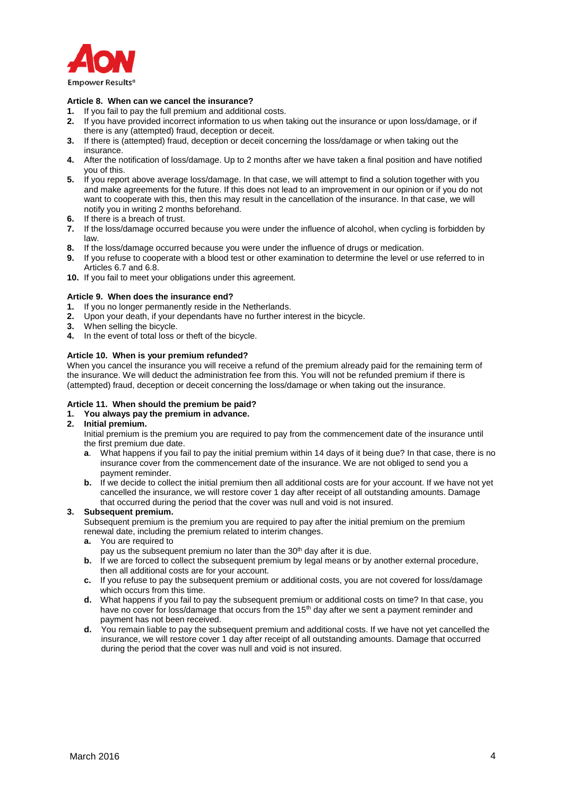

# **Article 8. When can we cancel the insurance?**

- **1.** If you fail to pay the full premium and additional costs.
- **2.** If you have provided incorrect information to us when taking out the insurance or upon loss/damage, or if there is any (attempted) fraud, deception or deceit.
- **3.** If there is (attempted) fraud, deception or deceit concerning the loss/damage or when taking out the insurance.
- **4.** After the notification of loss/damage. Up to 2 months after we have taken a final position and have notified you of this.
- **5.** If you report above average loss/damage. In that case, we will attempt to find a solution together with you and make agreements for the future. If this does not lead to an improvement in our opinion or if you do not want to cooperate with this, then this may result in the cancellation of the insurance. In that case, we will notify you in writing 2 months beforehand.
- **6.** If there is a breach of trust.
- **7.** If the loss/damage occurred because you were under the influence of alcohol, when cycling is forbidden by law.
- **8.** If the loss/damage occurred because you were under the influence of drugs or medication.
- **9.** If you refuse to cooperate with a blood test or other examination to determine the level or use referred to in Articles 6.7 and 6.8.
- **10.** If you fail to meet your obligations under this agreement.

# **Article 9. When does the insurance end?**

- 
- **1.** If you no longer permanently reside in the Netherlands.<br>**2.** Unon your death, if your dependants have no further int **2.** Upon your death, if your dependants have no further interest in the bicycle.
- **3.** When selling the bicycle.
- **4.** In the event of total loss or theft of the bicycle.

#### **Article 10. When is your premium refunded?**

When you cancel the insurance you will receive a refund of the premium already paid for the remaining term of the insurance. We will deduct the administration fee from this. You will not be refunded premium if there is (attempted) fraud, deception or deceit concerning the loss/damage or when taking out the insurance.

# **Article 11. When should the premium be paid?**

# **1. You always pay the premium in advance.**

#### **2. Initial premium.**

Initial premium is the premium you are required to pay from the commencement date of the insurance until the first premium due date.

- **a**. What happens if you fail to pay the initial premium within 14 days of it being due? In that case, there is no insurance cover from the commencement date of the insurance. We are not obliged to send you a payment reminder.
- **b.** If we decide to collect the initial premium then all additional costs are for your account. If we have not yet cancelled the insurance, we will restore cover 1 day after receipt of all outstanding amounts. Damage that occurred during the period that the cover was null and void is not insured.

# **3. Subsequent premium.**

Subsequent premium is the premium you are required to pay after the initial premium on the premium renewal date, including the premium related to interim changes.

# **a.** You are required to

- pay us the subsequent premium no later than the 30<sup>th</sup> day after it is due.
- **b.** If we are forced to collect the subsequent premium by legal means or by another external procedure, then all additional costs are for your account.
- **c.** If you refuse to pay the subsequent premium or additional costs, you are not covered for loss/damage which occurs from this time.
- **d.** What happens if you fail to pay the subsequent premium or additional costs on time? In that case, you have no cover for loss/damage that occurs from the  $15<sup>th</sup>$  day after we sent a payment reminder and payment has not been received.
- **d.** You remain liable to pay the subsequent premium and additional costs. If we have not yet cancelled the insurance, we will restore cover 1 day after receipt of all outstanding amounts. Damage that occurred during the period that the cover was null and void is not insured.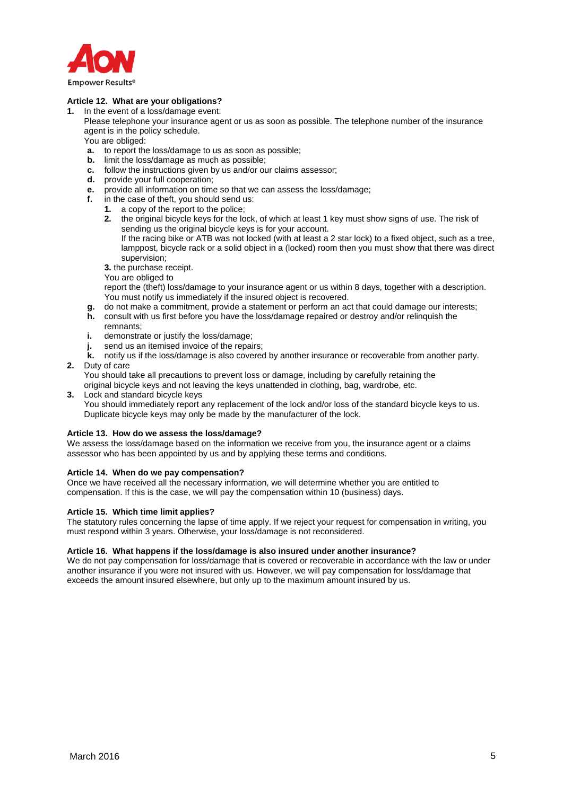

# **Article 12. What are your obligations?**

- **1.** In the event of a loss/damage event:
	- Please telephone your insurance agent or us as soon as possible. The telephone number of the insurance agent is in the policy schedule.
	- You are obliged:
	- **a.** to report the loss/damage to us as soon as possible;
	- **b.** limit the loss/damage as much as possible;
	- **c.** follow the instructions given by us and/or our claims assessor;
	- **d.** provide your full cooperation;
	- **e.** provide all information on time so that we can assess the loss/damage;<br>**f.** in the case of theft, you should send us:
	- in the case of theft, you should send us:
	- **1.** a copy of the report to the police;
		- **2.** the original bicycle keys for the lock, of which at least 1 key must show signs of use. The risk of sending us the original bicycle keys is for your account.
			- If the racing bike or ATB was not locked (with at least a 2 star lock) to a fixed object, such as a tree, lamppost, bicycle rack or a solid object in a (locked) room then you must show that there was direct supervision;

**3.** the purchase receipt.

You are obliged to

report the (theft) loss/damage to your insurance agent or us within 8 days, together with a description. You must notify us immediately if the insured object is recovered.

- **g.** do not make a commitment, provide a statement or perform an act that could damage our interests;
- **h.** consult with us first before you have the loss/damage repaired or destroy and/or relinquish the remnants;
- **i.** demonstrate or justify the loss/damage;
- **j.** send us an itemised invoice of the repairs;
- **k.** notify us if the loss/damage is also covered by another insurance or recoverable from another party.

# **2.** Duty of care

You should take all precautions to prevent loss or damage, including by carefully retaining the original bicycle keys and not leaving the keys unattended in clothing, bag, wardrobe, etc.

**3.** Lock and standard bicycle keys You should immediately report any replacement of the lock and/or loss of the standard bicycle keys to us. Duplicate bicycle keys may only be made by the manufacturer of the lock.

#### **Article 13. How do we assess the loss/damage?**

We assess the loss/damage based on the information we receive from you, the insurance agent or a claims assessor who has been appointed by us and by applying these terms and conditions.

#### **Article 14. When do we pay compensation?**

Once we have received all the necessary information, we will determine whether you are entitled to compensation. If this is the case, we will pay the compensation within 10 (business) days.

# **Article 15. Which time limit applies?**

The statutory rules concerning the lapse of time apply. If we reject your request for compensation in writing, you must respond within 3 years. Otherwise, your loss/damage is not reconsidered.

#### **Article 16. What happens if the loss/damage is also insured under another insurance?**

We do not pay compensation for loss/damage that is covered or recoverable in accordance with the law or under another insurance if you were not insured with us. However, we will pay compensation for loss/damage that exceeds the amount insured elsewhere, but only up to the maximum amount insured by us.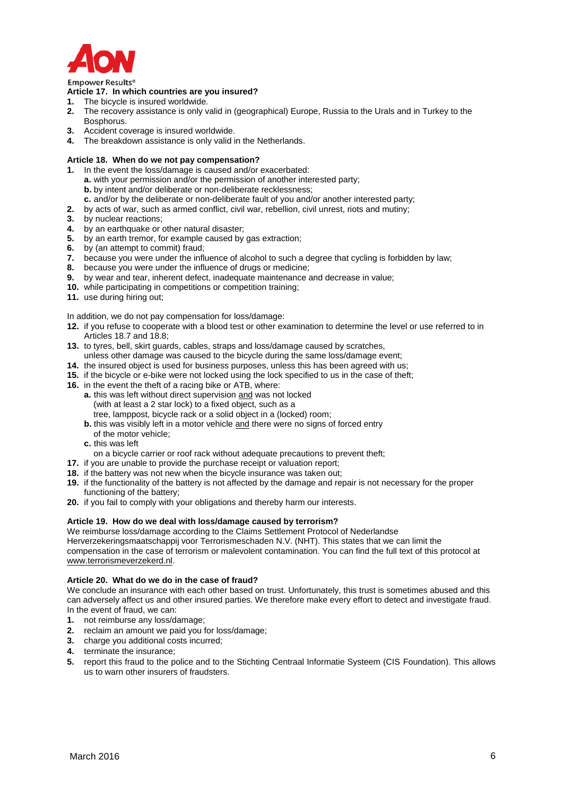

#### **Emnower Results®**

#### **Article 17. In which countries are you insured?**

- **1.** The bicycle is insured worldwide.
- **2.** The recovery assistance is only valid in (geographical) Europe, Russia to the Urals and in Turkey to the Bosphorus.
- **3.** Accident coverage is insured worldwide.
- **4.** The breakdown assistance is only valid in the Netherlands.

# **Article 18. When do we not pay compensation?**

- **1.** In the event the loss/damage is caused and/or exacerbated:
	- **a.** with your permission and/or the permission of another interested party;
	- **b.** by intent and/or deliberate or non-deliberate recklessness;
	- **c.** and/or by the deliberate or non-deliberate fault of you and/or another interested party;
- **2.** by acts of war, such as armed conflict, civil war, rebellion, civil unrest, riots and mutiny;
- **3.** by nuclear reactions;
- **4.** by an earthquake or other natural disaster;
- **5.** by an earth tremor, for example caused by gas extraction;
- **6.** by (an attempt to commit) fraud;
- **7.** because you were under the influence of alcohol to such a degree that cycling is forbidden by law;
- **8.** because you were under the influence of drugs or medicine;
- **9.** by wear and tear, inherent defect, inadequate maintenance and decrease in value;
- **10.** while participating in competitions or competition training;
- **11.** use during hiring out;

In addition, we do not pay compensation for loss/damage:

- **12.** if you refuse to cooperate with a blood test or other examination to determine the level or use referred to in Articles 18.7 and 18.8;
- **13.** to tyres, bell, skirt guards, cables, straps and loss/damage caused by scratches,
- unless other damage was caused to the bicycle during the same loss/damage event;
- **14.** the insured object is used for business purposes, unless this has been agreed with us;
- **15.** if the bicycle or e-bike were not locked using the lock specified to us in the case of theft;
- **16.** in the event the theft of a racing bike or ATB, where:
	- **a.** this was left without direct supervision and was not locked (with at least a 2 star lock) to a fixed object, such as a tree, lamppost, bicycle rack or a solid object in a (locked) room;
	- **b.** this was visibly left in a motor vehicle and there were no signs of forced entry
	- of the motor vehicle;
	- **c.** this was left
	- on a bicycle carrier or roof rack without adequate precautions to prevent theft;
- **17.** if you are unable to provide the purchase receipt or valuation report;
- **18.** if the battery was not new when the bicycle insurance was taken out;
- **19.** if the functionality of the battery is not affected by the damage and repair is not necessary for the proper functioning of the battery;
- **20.** if you fail to comply with your obligations and thereby harm our interests.

# **Article 19. How do we deal with loss/damage caused by terrorism?**

We reimburse loss/damage according to the Claims Settlement Protocol of Nederlandse

Herverzekeringsmaatschappij voor Terrorismeschaden N.V. (NHT). This states that we can limit the compensation in the case of terrorism or malevolent contamination. You can find the full text of this protocol at [www.terrorismeverzekerd.nl.](http://www.terrorismeverzekerd.nl/)

# **Article 20. What do we do in the case of fraud?**

We conclude an insurance with each other based on trust. Unfortunately, this trust is sometimes abused and this can adversely affect us and other insured parties. We therefore make every effort to detect and investigate fraud. In the event of fraud, we can:

- **1.** not reimburse any loss/damage;
- **2.** reclaim an amount we paid you for loss/damage;
- **3.** charge you additional costs incurred;
- **4.** terminate the insurance;
- **5.** report this fraud to the police and to the Stichting Centraal Informatie Systeem (CIS Foundation). This allows us to warn other insurers of fraudsters.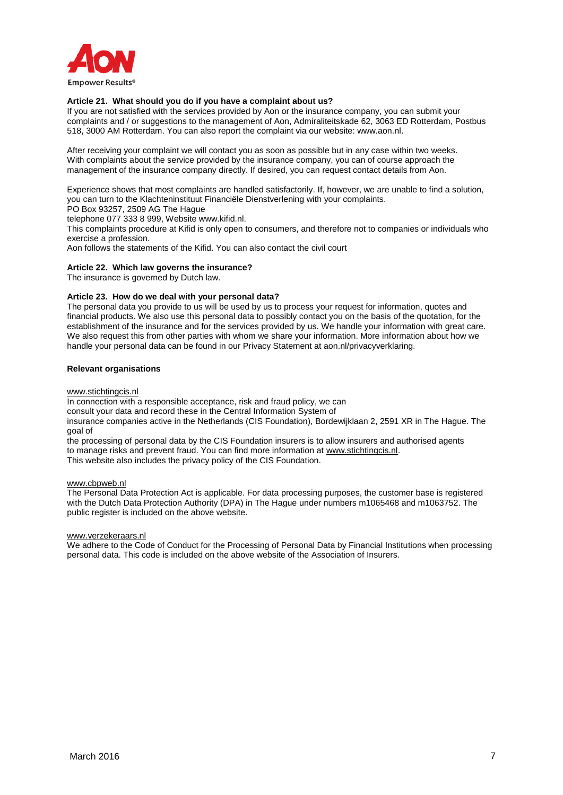

#### **Article 21. What should you do if you have a complaint about us?**

If you are not satisfied with the services provided by Aon or the insurance company, you can submit your complaints and / or suggestions to the management of Aon, Admiraliteitskade 62, 3063 ED Rotterdam, Postbus 518, 3000 AM Rotterdam. You can also report the complaint via our website: www.aon.nl.

After receiving your complaint we will contact you as soon as possible but in any case within two weeks. With complaints about the service provided by the insurance company, you can of course approach the management of the insurance company directly. If desired, you can request contact details from Aon.

Experience shows that most complaints are handled satisfactorily. If, however, we are unable to find a solution, you can turn to the Klachteninstituut Financiële Dienstverlening with your complaints.

PO Box 93257, 2509 AG The Hague

telephone 077 333 8 999, Website www.kifid.nl.

This complaints procedure at Kifid is only open to consumers, and therefore not to companies or individuals who exercise a profession.

Aon follows the statements of the Kifid. You can also contact the civil court

#### **Article 22. Which law governs the insurance?**

The insurance is governed by Dutch law.

#### **Article 23. How do we deal with your personal data?**

The personal data you provide to us will be used by us to process your request for information, quotes and financial products. We also use this personal data to possibly contact you on the basis of the quotation, for the establishment of the insurance and for the services provided by us. We handle your information with great care. We also request this from other parties with whom we share your information. More information about how we handle your personal data can be found in our Privacy Statement at aon.nl/privacyverklaring.

#### **Relevant organisations**

[www.stichtingcis.nl](http://www.stichtingcis.nl/)

In connection with a responsible acceptance, risk and fraud policy, we can

consult your data and record these in the Central Information System of

insurance companies active in the Netherlands (CIS Foundation), Bordewijklaan 2, 2591 XR in The Hague. The goal of

the processing of personal data by the CIS Foundation insurers is to allow insurers and authorised agents to manage risks and prevent fraud. You can find more information at [www.stichtingcis.nl.](http://www.stichtingcis.nl/) This website also includes the privacy policy of the CIS Foundation.

[www.cbpweb.nl](http://www.cbpweb.nl/)

The Personal Data Protection Act is applicable. For data processing purposes, the customer base is registered with the Dutch Data Protection Authority (DPA) in The Hague under numbers m1065468 and m1063752. The public register is included on the above website.

[www.verzekeraars.nl](http://www.verzekeraars.nl/)

We adhere to the Code of Conduct for the Processing of Personal Data by Financial Institutions when processing personal data. This code is included on the above website of the Association of Insurers.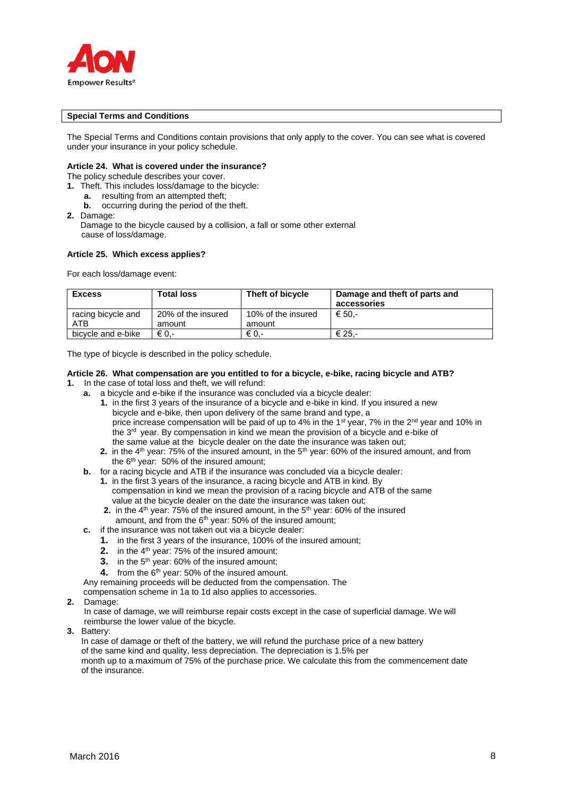

#### **Special Terms and Conditions**

The Special Terms and Conditions contain provisions that only apply to the cover. You can see what is covered under your insurance in your policy schedule.

#### **Article 24. What is covered under the insurance?**

The policy schedule describes your cover.

**1.** Theft. This includes loss/damage to the bicycle:

- **a.** resulting from an attempted theft;
- **b.** occurring during the period of the theft.
- **2.** Damage:

Damage to the bicycle caused by a collision, a fall or some other external cause of loss/damage.

# **Article 25. Which excess applies?**

For each loss/damage event:

| <b>Excess</b>                    | <b>Total loss</b>            | Theft of bicycle             | Damage and theft of parts and<br>accessories |
|----------------------------------|------------------------------|------------------------------|----------------------------------------------|
| racing bicycle and<br><b>ATB</b> | 20% of the insured<br>amount | 10% of the insured<br>amount | € 50.-                                       |
| bicycle and e-bike               | € 0.-                        | € 0.-                        | € 25.-                                       |

The type of bicycle is described in the policy schedule.

# **Article 26. What compensation are you entitled to for a bicycle, e-bike, racing bicycle and ATB?**

- **1.** In the case of total loss and theft, we will refund:
	- **a.** a bicycle and e-bike if the insurance was concluded via a bicycle dealer:
		- **1.** in the first 3 years of the insurance of a bicycle and e-bike in kind. If you insured a new bicycle and e-bike, then upon delivery of the same brand and type, a price increase compensation will be paid of up to 4% in the 1<sup>st</sup> year, 7% in the 2<sup>nd</sup> year and 10% in the  $3<sup>rd</sup>$  year. By compensation in kind we mean the provision of a bicycle and e-bike of the same value at the bicycle dealer on the date the insurance was taken out;
		- **2.** in the 4<sup>th</sup> year: 75% of the insured amount, in the 5<sup>th</sup> year: 60% of the insured amount, and from the  $6<sup>th</sup>$  year: 50% of the insured amount:
	- **b.** for a racing bicycle and ATB if the insurance was concluded via a bicycle dealer:
		- **1.** in the first 3 years of the insurance, a racing bicycle and ATB in kind. By compensation in kind we mean the provision of a racing bicycle and ATB of the same value at the bicycle dealer on the date the insurance was taken out;
		- **2.** in the 4<sup>th</sup> year: 75% of the insured amount, in the 5<sup>th</sup> year: 60% of the insured amount, and from the  $6<sup>th</sup>$  year: 50% of the insured amount;
	- **c.** if the insurance was not taken out via a bicycle dealer:
		- **1.** in the first 3 years of the insurance, 100% of the insured amount;
		- **2.** in the 4<sup>th</sup> year: 75% of the insured amount;
		- **3.** in the 5<sup>th</sup> year: 60% of the insured amount;
		- **4.** from the 6<sup>th</sup> year: 50% of the insured amount.

Any remaining proceeds will be deducted from the compensation. The

compensation scheme in 1a to 1d also applies to accessories.

**2.** Damage:

In case of damage, we will reimburse repair costs except in the case of superficial damage. We will reimburse the lower value of the bicycle.

**3.** Battery:

 In case of damage or theft of the battery, we will refund the purchase price of a new battery of the same kind and quality, less depreciation. The depreciation is 1.5% per month up to a maximum of 75% of the purchase price. We calculate this from the commencement date of the insurance.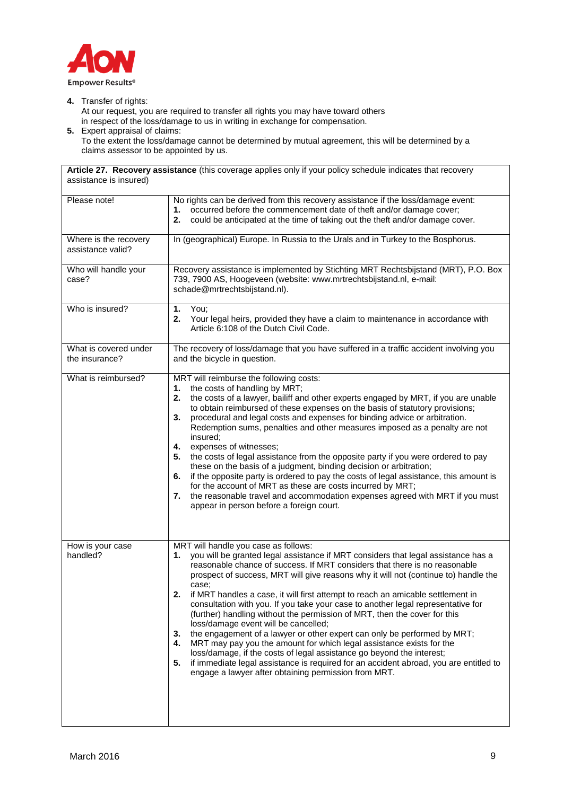

**4.** Transfer of rights:

 At our request, you are required to transfer all rights you may have toward others in respect of the loss/damage to us in writing in exchange for compensation.

**5.** Expert appraisal of claims: To the extent the loss/damage cannot be determined by mutual agreement, this will be determined by a claims assessor to be appointed by us.

**Article 27. Recovery assistance** (this coverage applies only if your policy schedule indicates that recovery assistance is insured)

| Please note!                               | No rights can be derived from this recovery assistance if the loss/damage event:<br>1. occurred before the commencement date of theft and/or damage cover;<br>2.<br>could be anticipated at the time of taking out the theft and/or damage cover.                                                                                                                                                                                                                                                                                                                                                                                                                                                                                                                                                                                                                                                                                                                                                               |
|--------------------------------------------|-----------------------------------------------------------------------------------------------------------------------------------------------------------------------------------------------------------------------------------------------------------------------------------------------------------------------------------------------------------------------------------------------------------------------------------------------------------------------------------------------------------------------------------------------------------------------------------------------------------------------------------------------------------------------------------------------------------------------------------------------------------------------------------------------------------------------------------------------------------------------------------------------------------------------------------------------------------------------------------------------------------------|
| Where is the recovery<br>assistance valid? | In (geographical) Europe. In Russia to the Urals and in Turkey to the Bosphorus.                                                                                                                                                                                                                                                                                                                                                                                                                                                                                                                                                                                                                                                                                                                                                                                                                                                                                                                                |
| Who will handle your<br>case?              | Recovery assistance is implemented by Stichting MRT Rechtsbijstand (MRT), P.O. Box<br>739, 7900 AS, Hoogeveen (website: www.mrtrechtsbijstand.nl, e-mail:<br>schade@mrtrechtsbijstand.nl).                                                                                                                                                                                                                                                                                                                                                                                                                                                                                                                                                                                                                                                                                                                                                                                                                      |
| Who is insured?                            | You;<br>1.<br>Your legal heirs, provided they have a claim to maintenance in accordance with<br>2.<br>Article 6:108 of the Dutch Civil Code.                                                                                                                                                                                                                                                                                                                                                                                                                                                                                                                                                                                                                                                                                                                                                                                                                                                                    |
| What is covered under<br>the insurance?    | The recovery of loss/damage that you have suffered in a traffic accident involving you<br>and the bicycle in question.                                                                                                                                                                                                                                                                                                                                                                                                                                                                                                                                                                                                                                                                                                                                                                                                                                                                                          |
| What is reimbursed?                        | MRT will reimburse the following costs:<br>the costs of handling by MRT;<br>1.<br>the costs of a lawyer, bailiff and other experts engaged by MRT, if you are unable<br>2.<br>to obtain reimbursed of these expenses on the basis of statutory provisions;<br>procedural and legal costs and expenses for binding advice or arbitration.<br>3.<br>Redemption sums, penalties and other measures imposed as a penalty are not<br>insured;<br>4.<br>expenses of witnesses;<br>the costs of legal assistance from the opposite party if you were ordered to pay<br>5.<br>these on the basis of a judgment, binding decision or arbitration;<br>if the opposite party is ordered to pay the costs of legal assistance, this amount is<br>6.<br>for the account of MRT as these are costs incurred by MRT;<br>the reasonable travel and accommodation expenses agreed with MRT if you must<br>7.<br>appear in person before a foreign court.                                                                         |
| How is your case<br>handled?               | MRT will handle you case as follows:<br>you will be granted legal assistance if MRT considers that legal assistance has a<br>1.<br>reasonable chance of success. If MRT considers that there is no reasonable<br>prospect of success, MRT will give reasons why it will not (continue to) handle the<br>case;<br>if MRT handles a case, it will first attempt to reach an amicable settlement in<br>2.<br>consultation with you. If you take your case to another legal representative for<br>(further) handling without the permission of MRT, then the cover for this<br>loss/damage event will be cancelled;<br>the engagement of a lawyer or other expert can only be performed by MRT;<br>3.<br>MRT may pay you the amount for which legal assistance exists for the<br>4.<br>loss/damage, if the costs of legal assistance go beyond the interest;<br>if immediate legal assistance is required for an accident abroad, you are entitled to<br>5.<br>engage a lawyer after obtaining permission from MRT. |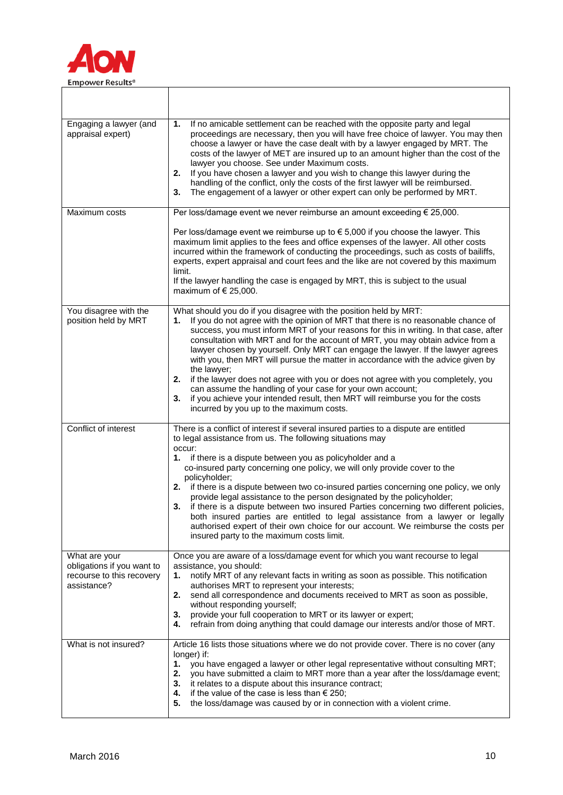

| Engaging a lawyer (and<br>appraisal expert)                                             | If no amicable settlement can be reached with the opposite party and legal<br>1.<br>proceedings are necessary, then you will have free choice of lawyer. You may then<br>choose a lawyer or have the case dealt with by a lawyer engaged by MRT. The<br>costs of the lawyer of MET are insured up to an amount higher than the cost of the<br>lawyer you choose. See under Maximum costs.<br>If you have chosen a lawyer and you wish to change this lawyer during the<br>2.<br>handling of the conflict, only the costs of the first lawyer will be reimbursed.<br>The engagement of a lawyer or other expert can only be performed by MRT.<br>3.                                                                                                                                                                     |
|-----------------------------------------------------------------------------------------|------------------------------------------------------------------------------------------------------------------------------------------------------------------------------------------------------------------------------------------------------------------------------------------------------------------------------------------------------------------------------------------------------------------------------------------------------------------------------------------------------------------------------------------------------------------------------------------------------------------------------------------------------------------------------------------------------------------------------------------------------------------------------------------------------------------------|
| Maximum costs                                                                           | Per loss/damage event we never reimburse an amount exceeding € 25,000.                                                                                                                                                                                                                                                                                                                                                                                                                                                                                                                                                                                                                                                                                                                                                 |
|                                                                                         | Per loss/damage event we reimburse up to $\epsilon$ 5,000 if you choose the lawyer. This<br>maximum limit applies to the fees and office expenses of the lawyer. All other costs<br>incurred within the framework of conducting the proceedings, such as costs of bailiffs,<br>experts, expert appraisal and court fees and the like are not covered by this maximum<br>limit.<br>If the lawyer handling the case is engaged by MRT, this is subject to the usual<br>maximum of $\in$ 25,000.                                                                                                                                                                                                                                                                                                                          |
| You disagree with the<br>position held by MRT                                           | What should you do if you disagree with the position held by MRT:<br>If you do not agree with the opinion of MRT that there is no reasonable chance of<br>1.<br>success, you must inform MRT of your reasons for this in writing. In that case, after<br>consultation with MRT and for the account of MRT, you may obtain advice from a<br>lawyer chosen by yourself. Only MRT can engage the lawyer. If the lawyer agrees<br>with you, then MRT will pursue the matter in accordance with the advice given by<br>the lawyer;<br>2. if the lawyer does not agree with you or does not agree with you completely, you<br>can assume the handling of your case for your own account;<br>if you achieve your intended result, then MRT will reimburse you for the costs<br>3.<br>incurred by you up to the maximum costs. |
| Conflict of interest                                                                    | There is a conflict of interest if several insured parties to a dispute are entitled<br>to legal assistance from us. The following situations may                                                                                                                                                                                                                                                                                                                                                                                                                                                                                                                                                                                                                                                                      |
|                                                                                         | occur:<br>1. if there is a dispute between you as policyholder and a<br>co-insured party concerning one policy, we will only provide cover to the<br>policyholder;<br>2. if there is a dispute between two co-insured parties concerning one policy, we only<br>provide legal assistance to the person designated by the policyholder;<br>3. if there is a dispute between two insured Parties concerning two different policies,<br>both insured parties are entitled to legal assistance from a lawyer or legally<br>authorised expert of their own choice for our account. We reimburse the costs per<br>insured party to the maximum costs limit.                                                                                                                                                                  |
| What are your<br>obligations if you want to<br>recourse to this recovery<br>assistance? | Once you are aware of a loss/damage event for which you want recourse to legal<br>assistance, you should:<br>notify MRT of any relevant facts in writing as soon as possible. This notification<br>1.<br>authorises MRT to represent your interests;<br>send all correspondence and documents received to MRT as soon as possible,<br>2.<br>without responding yourself;<br>provide your full cooperation to MRT or its lawyer or expert;<br>3.<br>refrain from doing anything that could damage our interests and/or those of MRT.<br>4.                                                                                                                                                                                                                                                                              |
| What is not insured?                                                                    | Article 16 lists those situations where we do not provide cover. There is no cover (any<br>longer) if:<br>you have engaged a lawyer or other legal representative without consulting MRT;<br>1.<br>you have submitted a claim to MRT more than a year after the loss/damage event;<br>2.<br>3. it relates to a dispute about this insurance contract;<br>4. if the value of the case is less than $\epsilon$ 250;<br>5.<br>the loss/damage was caused by or in connection with a violent crime.                                                                                                                                                                                                                                                                                                                        |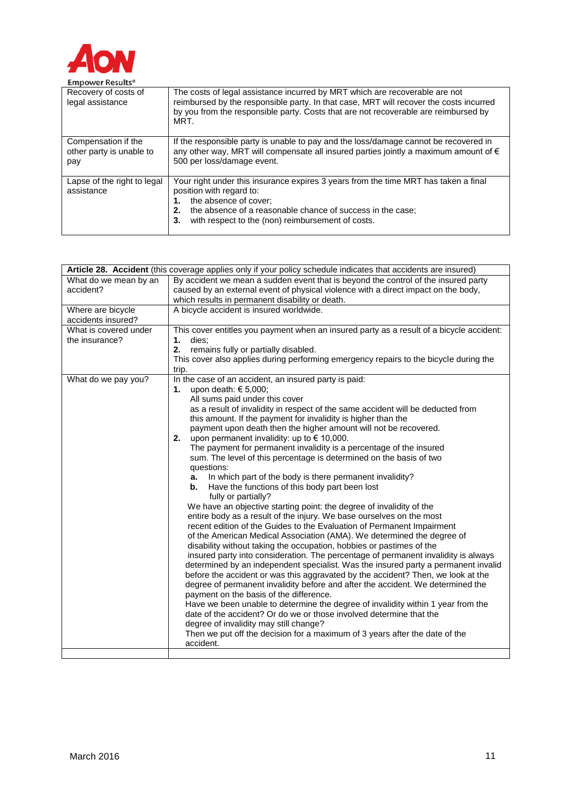

| <b>LITINAMAL INCONTRA</b>                              |                                                                                                                                                                                                                                                                         |
|--------------------------------------------------------|-------------------------------------------------------------------------------------------------------------------------------------------------------------------------------------------------------------------------------------------------------------------------|
| Recovery of costs of<br>legal assistance               | The costs of legal assistance incurred by MRT which are recoverable are not<br>reimbursed by the responsible party. In that case, MRT will recover the costs incurred<br>by you from the responsible party. Costs that are not recoverable are reimbursed by<br>MRT.    |
| Compensation if the<br>other party is unable to<br>pay | If the responsible party is unable to pay and the loss/damage cannot be recovered in<br>any other way, MRT will compensate all insured parties jointly a maximum amount of €<br>500 per loss/damage event.                                                              |
| Lapse of the right to legal<br>assistance              | Your right under this insurance expires 3 years from the time MRT has taken a final<br>position with regard to:<br>the absence of cover;<br>the absence of a reasonable chance of success in the case;<br>2.<br>with respect to the (non) reimbursement of costs.<br>3. |

| Article 28. Accident (this coverage applies only if your policy schedule indicates that accidents are insured) |                                                                                                                                                                                                                                                                                                                                                                                                                                                                                                                                                                                                                                                                                                                                                                                                                                                                                                                                                                                                                                                                                                                                                                                                                                                                                                                                                                                                                                                                                                                                                                                                                                                                                                                                                                                                        |  |
|----------------------------------------------------------------------------------------------------------------|--------------------------------------------------------------------------------------------------------------------------------------------------------------------------------------------------------------------------------------------------------------------------------------------------------------------------------------------------------------------------------------------------------------------------------------------------------------------------------------------------------------------------------------------------------------------------------------------------------------------------------------------------------------------------------------------------------------------------------------------------------------------------------------------------------------------------------------------------------------------------------------------------------------------------------------------------------------------------------------------------------------------------------------------------------------------------------------------------------------------------------------------------------------------------------------------------------------------------------------------------------------------------------------------------------------------------------------------------------------------------------------------------------------------------------------------------------------------------------------------------------------------------------------------------------------------------------------------------------------------------------------------------------------------------------------------------------------------------------------------------------------------------------------------------------|--|
| What do we mean by an<br>accident?                                                                             | By accident we mean a sudden event that is beyond the control of the insured party<br>caused by an external event of physical violence with a direct impact on the body,<br>which results in permanent disability or death.                                                                                                                                                                                                                                                                                                                                                                                                                                                                                                                                                                                                                                                                                                                                                                                                                                                                                                                                                                                                                                                                                                                                                                                                                                                                                                                                                                                                                                                                                                                                                                            |  |
| Where are bicycle<br>accidents insured?                                                                        | A bicycle accident is insured worldwide.                                                                                                                                                                                                                                                                                                                                                                                                                                                                                                                                                                                                                                                                                                                                                                                                                                                                                                                                                                                                                                                                                                                                                                                                                                                                                                                                                                                                                                                                                                                                                                                                                                                                                                                                                               |  |
| What is covered under<br>the insurance?                                                                        | This cover entitles you payment when an insured party as a result of a bicycle accident:<br>dies:<br>1.<br>remains fully or partially disabled.<br>2.<br>This cover also applies during performing emergency repairs to the bicycle during the<br>trip.                                                                                                                                                                                                                                                                                                                                                                                                                                                                                                                                                                                                                                                                                                                                                                                                                                                                                                                                                                                                                                                                                                                                                                                                                                                                                                                                                                                                                                                                                                                                                |  |
| What do we pay you?                                                                                            | In the case of an accident, an insured party is paid:<br><b>1.</b> upon death: € 5,000;<br>All sums paid under this cover<br>as a result of invalidity in respect of the same accident will be deducted from<br>this amount. If the payment for invalidity is higher than the<br>payment upon death then the higher amount will not be recovered.<br>upon permanent invalidity: up to $\epsilon$ 10,000.<br>2.<br>The payment for permanent invalidity is a percentage of the insured<br>sum. The level of this percentage is determined on the basis of two<br>questions:<br>In which part of the body is there permanent invalidity?<br>а.<br>Have the functions of this body part been lost<br>b.<br>fully or partially?<br>We have an objective starting point: the degree of invalidity of the<br>entire body as a result of the injury. We base ourselves on the most<br>recent edition of the Guides to the Evaluation of Permanent Impairment<br>of the American Medical Association (AMA). We determined the degree of<br>disability without taking the occupation, hobbies or pastimes of the<br>insured party into consideration. The percentage of permanent invalidity is always<br>determined by an independent specialist. Was the insured party a permanent invalid<br>before the accident or was this aggravated by the accident? Then, we look at the<br>degree of permanent invalidity before and after the accident. We determined the<br>payment on the basis of the difference.<br>Have we been unable to determine the degree of invalidity within 1 year from the<br>date of the accident? Or do we or those involved determine that the<br>degree of invalidity may still change?<br>Then we put off the decision for a maximum of 3 years after the date of the<br>accident. |  |
|                                                                                                                |                                                                                                                                                                                                                                                                                                                                                                                                                                                                                                                                                                                                                                                                                                                                                                                                                                                                                                                                                                                                                                                                                                                                                                                                                                                                                                                                                                                                                                                                                                                                                                                                                                                                                                                                                                                                        |  |